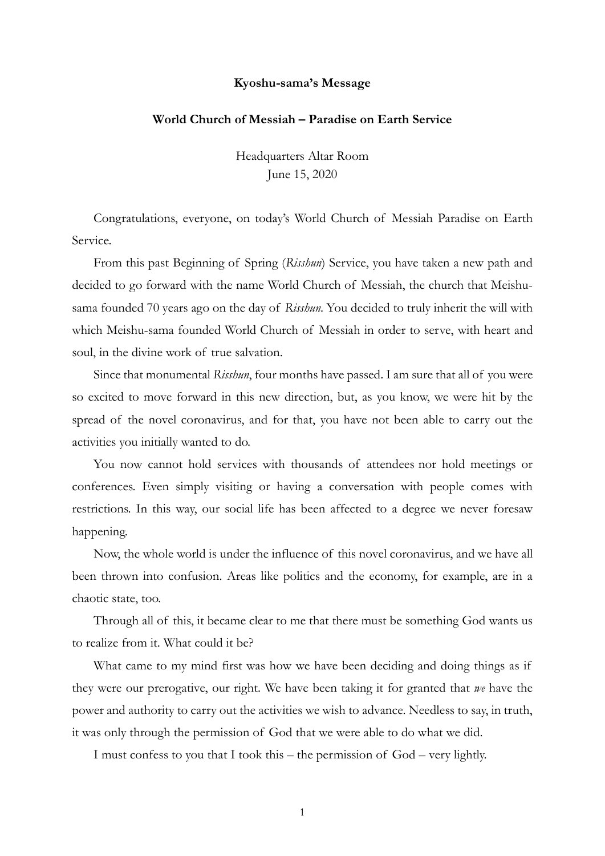## **Kyoshu-sama's Message**

## **World Church of Messiah – Paradise on Earth Service**

Headquarters Altar Room June 15, 2020

Congratulations, everyone, on today's World Church of Messiah Paradise on Earth Service.

From this past Beginning of Spring (*Risshun*) Service, you have taken a new path and decided to go forward with the name World Church of Messiah, the church that Meishusama founded 70 years ago on the day of *Risshun*. You decided to truly inherit the will with which Meishu-sama founded World Church of Messiah in order to serve, with heart and soul, in the divine work of true salvation.

Since that monumental *Risshun*, four months have passed. I am sure that all of you were so excited to move forward in this new direction, but, as you know, we were hit by the spread of the novel coronavirus, and for that, you have not been able to carry out the activities you initially wanted to do.

You now cannot hold services with thousands of attendees nor hold meetings or conferences. Even simply visiting or having a conversation with people comes with restrictions. In this way, our social life has been affected to a degree we never foresaw happening.

Now, the whole world is under the influence of this novel coronavirus, and we have all been thrown into confusion. Areas like politics and the economy, for example, are in a chaotic state, too.

Through all of this, it became clear to me that there must be something God wants us to realize from it. What could it be?

What came to my mind first was how we have been deciding and doing things as if they were our prerogative, our right. We have been taking it for granted that *we* have the power and authority to carry out the activities we wish to advance. Needless to say, in truth, it was only through the permission of God that we were able to do what we did.

I must confess to you that I took this – the permission of God – very lightly.

1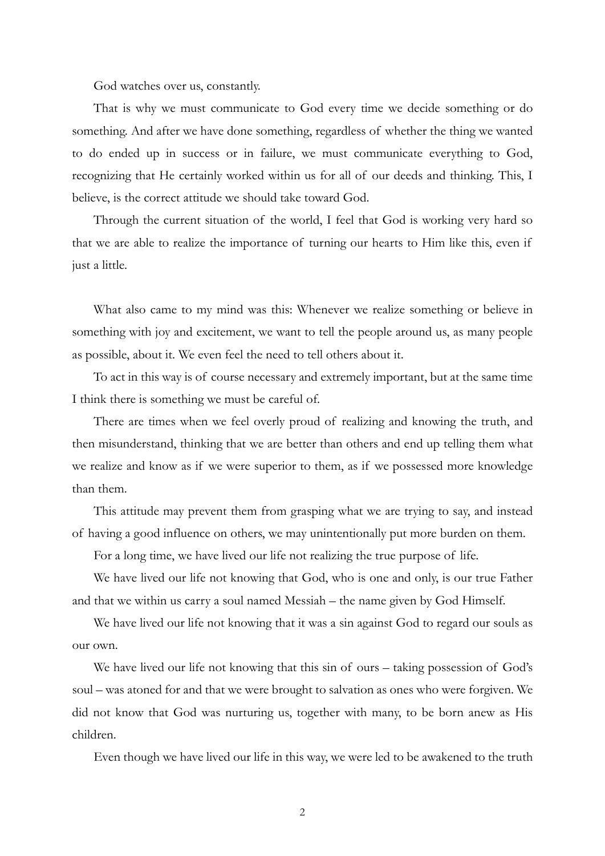God watches over us, constantly.

That is why we must communicate to God every time we decide something or do something. And after we have done something, regardless of whether the thing we wanted to do ended up in success or in failure, we must communicate everything to God, recognizing that He certainly worked within us for all of our deeds and thinking. This, I believe, is the correct attitude we should take toward God.

Through the current situation of the world, I feel that God is working very hard so that we are able to realize the importance of turning our hearts to Him like this, even if just a little.

What also came to my mind was this: Whenever we realize something or believe in something with joy and excitement, we want to tell the people around us, as many people as possible, about it. We even feel the need to tell others about it.

To act in this way is of course necessary and extremely important, but at the same time I think there is something we must be careful of.

There are times when we feel overly proud of realizing and knowing the truth, and then misunderstand, thinking that we are better than others and end up telling them what we realize and know as if we were superior to them, as if we possessed more knowledge than them.

This attitude may prevent them from grasping what we are trying to say, and instead of having a good influence on others, we may unintentionally put more burden on them.

For a long time, we have lived our life not realizing the true purpose of life.

We have lived our life not knowing that God, who is one and only, is our true Father and that we within us carry a soul named Messiah – the name given by God Himself.

We have lived our life not knowing that it was a sin against God to regard our souls as our own.

We have lived our life not knowing that this sin of ours – taking possession of God's soul – was atoned for and that we were brought to salvation as ones who were forgiven. We did not know that God was nurturing us, together with many, to be born anew as His children.

Even though we have lived our life in this way, we were led to be awakened to the truth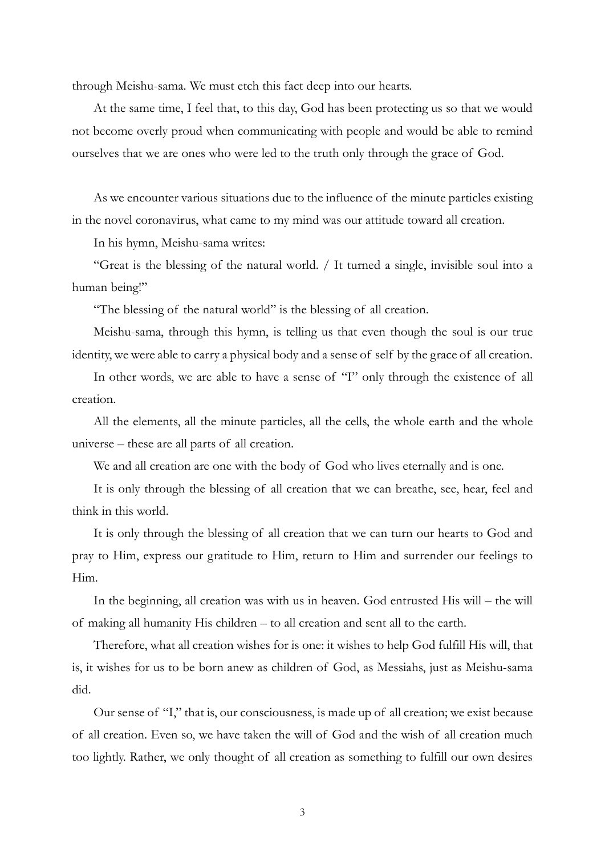through Meishu-sama. We must etch this fact deep into our hearts.

At the same time, I feel that, to this day, God has been protecting us so that we would not become overly proud when communicating with people and would be able to remind ourselves that we are ones who were led to the truth only through the grace of God.

As we encounter various situations due to the influence of the minute particles existing in the novel coronavirus, what came to my mind was our attitude toward all creation.

In his hymn, Meishu-sama writes:

"Great is the blessing of the natural world. / It turned a single, invisible soul into a human being!"

"The blessing of the natural world" is the blessing of all creation.

Meishu-sama, through this hymn, is telling us that even though the soul is our true identity, we were able to carry a physical body and a sense of self by the grace of all creation.

In other words, we are able to have a sense of "I" only through the existence of all creation.

All the elements, all the minute particles, all the cells, the whole earth and the whole universe – these are all parts of all creation.

We and all creation are one with the body of God who lives eternally and is one.

It is only through the blessing of all creation that we can breathe, see, hear, feel and think in this world.

It is only through the blessing of all creation that we can turn our hearts to God and pray to Him, express our gratitude to Him, return to Him and surrender our feelings to Him.

In the beginning, all creation was with us in heaven. God entrusted His will – the will of making all humanity His children – to all creation and sent all to the earth.

Therefore, what all creation wishes for is one: it wishes to help God fulfill His will, that is, it wishes for us to be born anew as children of God, as Messiahs, just as Meishu-sama did.

Our sense of "I," that is, our consciousness, is made up of all creation; we exist because of all creation. Even so, we have taken the will of God and the wish of all creation much too lightly. Rather, we only thought of all creation as something to fulfill our own desires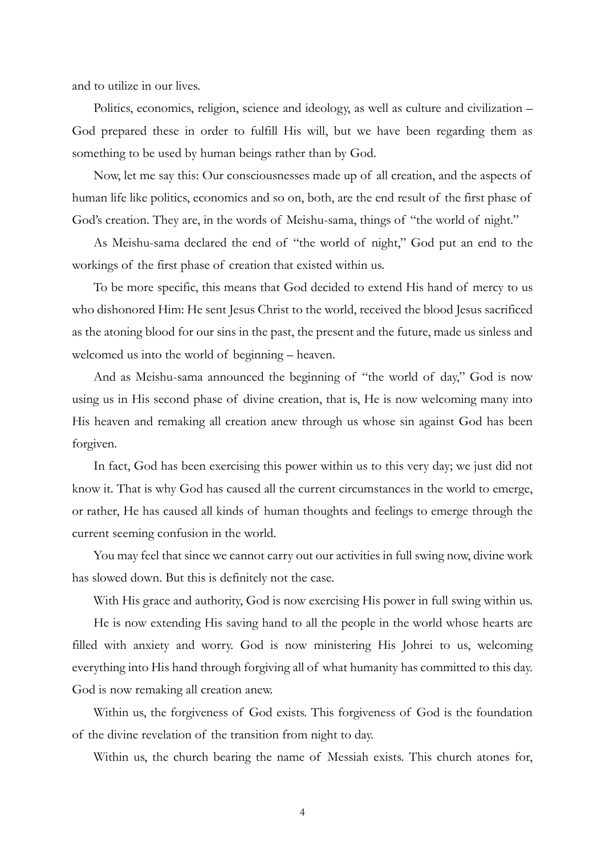and to utilize in our lives.

Politics, economics, religion, science and ideology, as well as culture and civilization – God prepared these in order to fulfill His will, but we have been regarding them as something to be used by human beings rather than by God.

Now, let me say this: Our consciousnesses made up of all creation, and the aspects of human life like politics, economics and so on, both, are the end result of the first phase of God's creation. They are, in the words of Meishu-sama, things of "the world of night."

As Meishu-sama declared the end of "the world of night," God put an end to the workings of the first phase of creation that existed within us.

To be more specific, this means that God decided to extend His hand of mercy to us who dishonored Him: He sent Jesus Christ to the world, received the blood Jesus sacrificed as the atoning blood for our sins in the past, the present and the future, made us sinless and welcomed us into the world of beginning – heaven.

And as Meishu-sama announced the beginning of "the world of day," God is now using us in His second phase of divine creation, that is, He is now welcoming many into His heaven and remaking all creation anew through us whose sin against God has been forgiven.

In fact, God has been exercising this power within us to this very day; we just did not know it. That is why God has caused all the current circumstances in the world to emerge, or rather, He has caused all kinds of human thoughts and feelings to emerge through the current seeming confusion in the world.

You may feel that since we cannot carry out our activities in full swing now, divine work has slowed down. But this is definitely not the case.

With His grace and authority, God is now exercising His power in full swing within us. He is now extending His saving hand to all the people in the world whose hearts are filled with anxiety and worry. God is now ministering His Johrei to us, welcoming everything into His hand through forgiving all of what humanity has committed to this day. God is now remaking all creation anew.

Within us, the forgiveness of God exists. This forgiveness of God is the foundation of the divine revelation of the transition from night to day.

Within us, the church bearing the name of Messiah exists. This church atones for,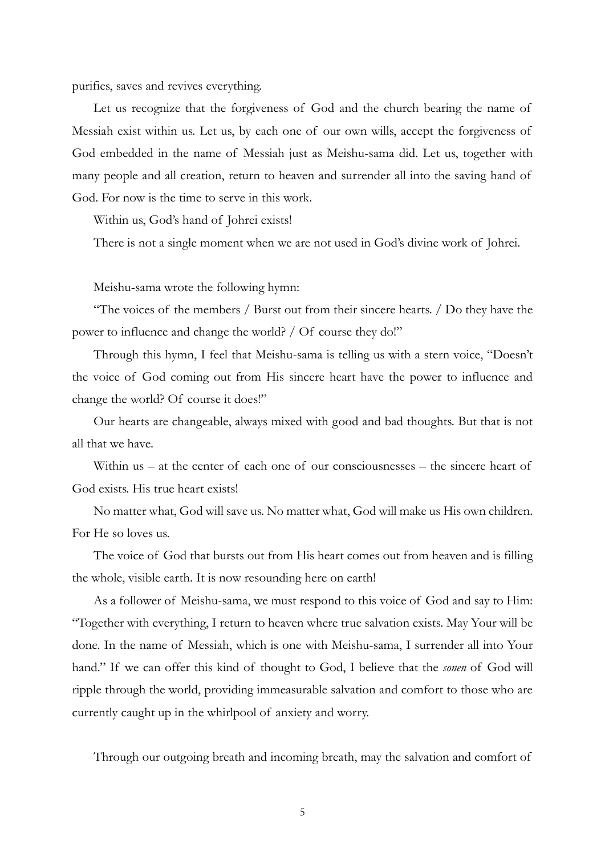purifies, saves and revives everything.

Let us recognize that the forgiveness of God and the church bearing the name of Messiah exist within us. Let us, by each one of our own wills, accept the forgiveness of God embedded in the name of Messiah just as Meishu-sama did. Let us, together with many people and all creation, return to heaven and surrender all into the saving hand of God. For now is the time to serve in this work.

Within us, God's hand of Johrei exists!

There is not a single moment when we are not used in God's divine work of Johrei.

Meishu-sama wrote the following hymn:

"The voices of the members / Burst out from their sincere hearts. / Do they have the power to influence and change the world? / Of course they do!"

Through this hymn, I feel that Meishu-sama is telling us with a stern voice, "Doesn't the voice of God coming out from His sincere heart have the power to influence and change the world? Of course it does!"

Our hearts are changeable, always mixed with good and bad thoughts. But that is not all that we have.

Within us – at the center of each one of our consciousnesses – the sincere heart of God exists. His true heart exists!

No matter what, God will save us. No matter what, God will make us His own children. For He so loves us.

The voice of God that bursts out from His heart comes out from heaven and is filling the whole, visible earth. It is now resounding here on earth!

As a follower of Meishu-sama, we must respond to this voice of God and say to Him: "Together with everything, I return to heaven where true salvation exists. May Your will be done. In the name of Messiah, which is one with Meishu-sama, I surrender all into Your hand." If we can offer this kind of thought to God, I believe that the *sonen* of God will ripple through the world, providing immeasurable salvation and comfort to those who are currently caught up in the whirlpool of anxiety and worry.

Through our outgoing breath and incoming breath, may the salvation and comfort of